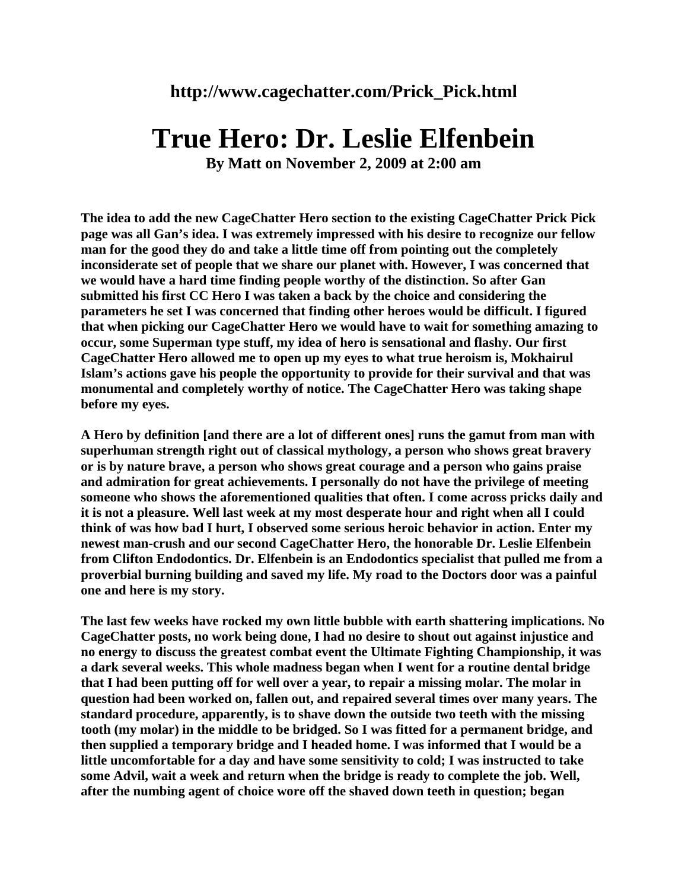## **True Hero: Dr. Leslie Elfenbein**

**By Matt on November 2, 2009 at 2:00 am** 

**The idea to add the new CageChatter Hero section to the existing CageChatter Prick Pick page was all Gan's idea. I was extremely impressed with his desire to recognize our fellow man for the good they do and take a little time off from pointing out the completely inconsiderate set of people that we share our planet with. However, I was concerned that we would have a hard time finding people worthy of the distinction. So after Gan submitted his first CC Hero I was taken a back by the choice and considering the parameters he set I was concerned that finding other heroes would be difficult. I figured that when picking our CageChatter Hero we would have to wait for something amazing to occur, some Superman type stuff, my idea of hero is sensational and flashy. Our first CageChatter Hero allowed me to open up my eyes to what true heroism is, Mokhairul Islam's actions gave his people the opportunity to provide for their survival and that was monumental and completely worthy of notice. The CageChatter Hero was taking shape before my eyes.**

**A Hero by definition [and there are a lot of different ones] runs the gamut from man with superhuman strength right out of classical mythology, a person who shows great bravery or is by nature brave, a person who shows great courage and a person who gains praise and admiration for great achievements. I personally do not have the privilege of meeting someone who shows the aforementioned qualities that often. I come across pricks daily and it is not a pleasure. Well last week at my most desperate hour and right when all I could think of was how bad I hurt, I observed some serious heroic behavior in action. Enter my newest man-crush and our second CageChatter Hero, the honorable Dr. Leslie Elfenbein from Clifton Endodontics. Dr. Elfenbein is an Endodontics specialist that pulled me from a proverbial burning building and saved my life. My road to the Doctors door was a painful one and here is my story.** 

**The last few weeks have rocked my own little bubble with earth shattering implications. No CageChatter posts, no work being done, I had no desire to shout out against injustice and no energy to discuss the greatest combat event the Ultimate Fighting Championship, it was a dark several weeks. This whole madness began when I went for a routine dental bridge that I had been putting off for well over a year, to repair a missing molar. The molar in question had been worked on, fallen out, and repaired several times over many years. The standard procedure, apparently, is to shave down the outside two teeth with the missing tooth (my molar) in the middle to be bridged. So I was fitted for a permanent bridge, and then supplied a temporary bridge and I headed home. I was informed that I would be a little uncomfortable for a day and have some sensitivity to cold; I was instructed to take some Advil, wait a week and return when the bridge is ready to complete the job. Well, after the numbing agent of choice wore off the shaved down teeth in question; began**